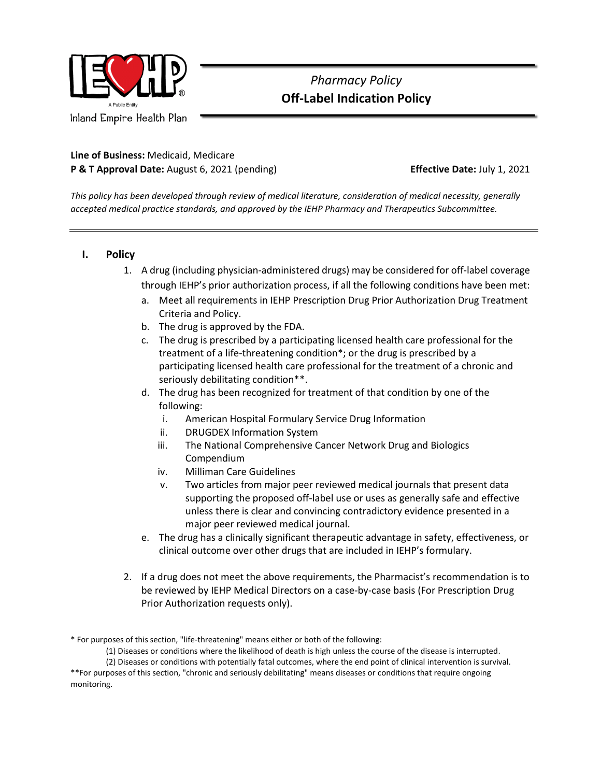

## *Pharmacy Policy*  **Off-Label Indication Policy**

### **Line of Business:** Medicaid, Medicare **P & T Approval Date:** August 6, 2021 (pending) **Effective Date:** July 1, 2021

*This policy has been developed through review of medical literature, consideration of medical necessity, generally accepted medical practice standards, and approved by the IEHP Pharmacy and Therapeutics Subcommittee.*

### **I. Policy**

- 1. A drug (including physician-administered drugs) may be considered for off-label coverage through IEHP's prior authorization process, if all the following conditions have been met:
	- a. Meet all requirements in IEHP Prescription Drug Prior Authorization Drug Treatment Criteria and Policy.
	- b. The drug is approved by the FDA.
	- c. The drug is prescribed by a participating licensed health care professional for the treatment of a life-threatening condition\*; or the drug is prescribed by a participating licensed health care professional for the treatment of a chronic and seriously debilitating condition\*\*.
	- d. The drug has been recognized for treatment of that condition by one of the following:
		- i. American Hospital Formulary Service Drug Information
		- ii. DRUGDEX Information System
		- iii. The National Comprehensive Cancer Network Drug and Biologics Compendium
		- iv. Milliman Care Guidelines
		- v. Two articles from major peer reviewed medical journals that present data supporting the proposed off-label use or uses as generally safe and effective unless there is clear and convincing contradictory evidence presented in a major peer reviewed medical journal.
	- e. The drug has a clinically significant therapeutic advantage in safety, effectiveness, or clinical outcome over other drugs that are included in IEHP's formulary.
- 2. If a drug does not meet the above requirements, the Pharmacist's recommendation is to be reviewed by IEHP Medical Directors on a case-by-case basis (For Prescription Drug Prior Authorization requests only).

<sup>\*</sup> For purposes of this section, "life-threatening" means either or both of the following:

<sup>(1)</sup> Diseases or conditions where the likelihood of death is high unless the course of the disease is interrupted.

<sup>(2)</sup> Diseases or conditions with potentially fatal outcomes, where the end point of clinical intervention is survival. \*\*For purposes of this section, "chronic and seriously debilitating" means diseases or conditions that require ongoing monitoring.